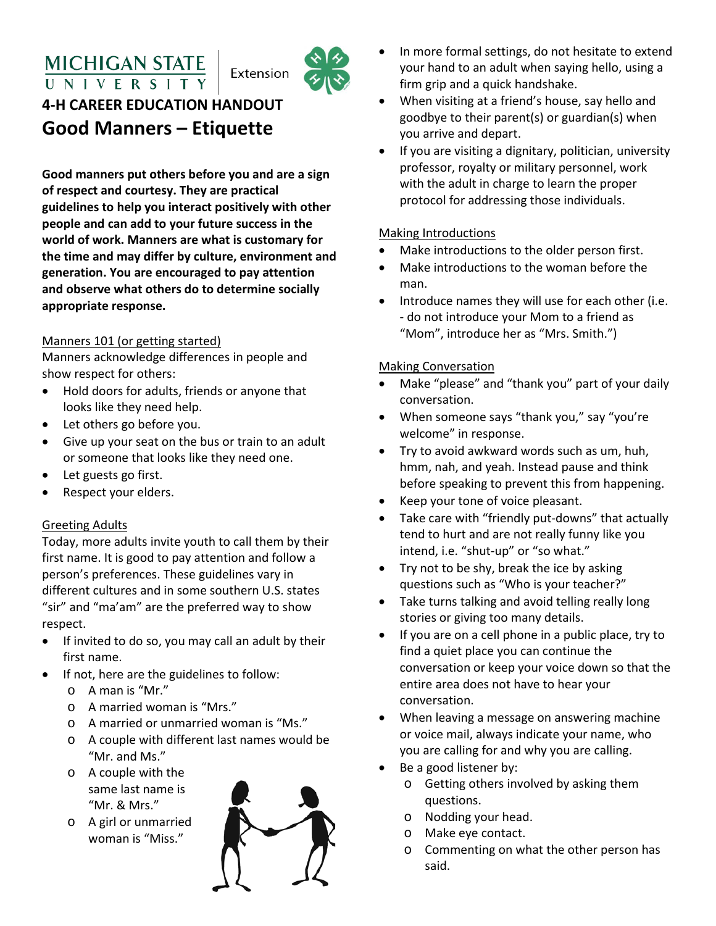## **MICHIGAN STATE** UNIVERS



# **4-H CAREER EDUCATION HANDOUT Good Manners – Etiquette**

**Good manners put others before you and are a sign of respect and courtesy. They are practical guidelines to help you interact positively with other people and can add to your future success in the world of work. Manners are what is customary for the time and may differ by culture, environment and generation. You are encouraged to pay attention and observe what others do to determine socially appropriate response.**

#### Manners 101 (or getting started)

Manners acknowledge differences in people and show respect for others:

- Hold doors for adults, friends or anyone that looks like they need help.
- Let others go before you.
- Give up your seat on the bus or train to an adult or someone that looks like they need one.
- Let guests go first.
- Respect your elders.

#### Greeting Adults

Today, more adults invite youth to call them by their first name. It is good to pay attention and follow a person's preferences. These guidelines vary in different cultures and in some southern U.S. states "sir" and "ma'am" are the preferred way to show respect.

- If invited to do so, you may call an adult by their first name.
- If not, here are the guidelines to follow:
	- o A man is "Mr."
	- o A married woman is "Mrs."
	- o A married or unmarried woman is "Ms."
	- o A couple with different last names would be "Mr. and Ms."
	- o A couple with the same last name is "Mr. & Mrs."
	- o A girl or unmarried woman is "Miss."



- In more formal settings, do not hesitate to extend your hand to an adult when saying hello, using a firm grip and a quick handshake.
- When visiting at a friend's house, say hello and goodbye to their parent(s) or guardian(s) when you arrive and depart.
- If you are visiting a dignitary, politician, university professor, royalty or military personnel, work with the adult in charge to learn the proper protocol for addressing those individuals.

#### Making Introductions

- Make introductions to the older person first.
- Make introductions to the woman before the man.
- Introduce names they will use for each other (i.e. - do not introduce your Mom to a friend as "Mom", introduce her as "Mrs. Smith.")

#### Making Conversation

- Make "please" and "thank you" part of your daily conversation.
- When someone says "thank you," say "you're welcome" in response.
- Try to avoid awkward words such as um, huh, hmm, nah, and yeah. Instead pause and think before speaking to prevent this from happening.
- Keep your tone of voice pleasant.
- Take care with "friendly put-downs" that actually tend to hurt and are not really funny like you intend, i.e. "shut-up" or "so what."
- Try not to be shy, break the ice by asking questions such as "Who is your teacher?"
- Take turns talking and avoid telling really long stories or giving too many details.
- If you are on a cell phone in a public place, try to find a quiet place you can continue the conversation or keep your voice down so that the entire area does not have to hear your conversation.
- When leaving a message on answering machine or voice mail, always indicate your name, who you are calling for and why you are calling.
- Be a good listener by:
	- o Getting others involved by asking them questions.
	- o Nodding your head.
	- o Make eye contact.
	- o Commenting on what the other person has said.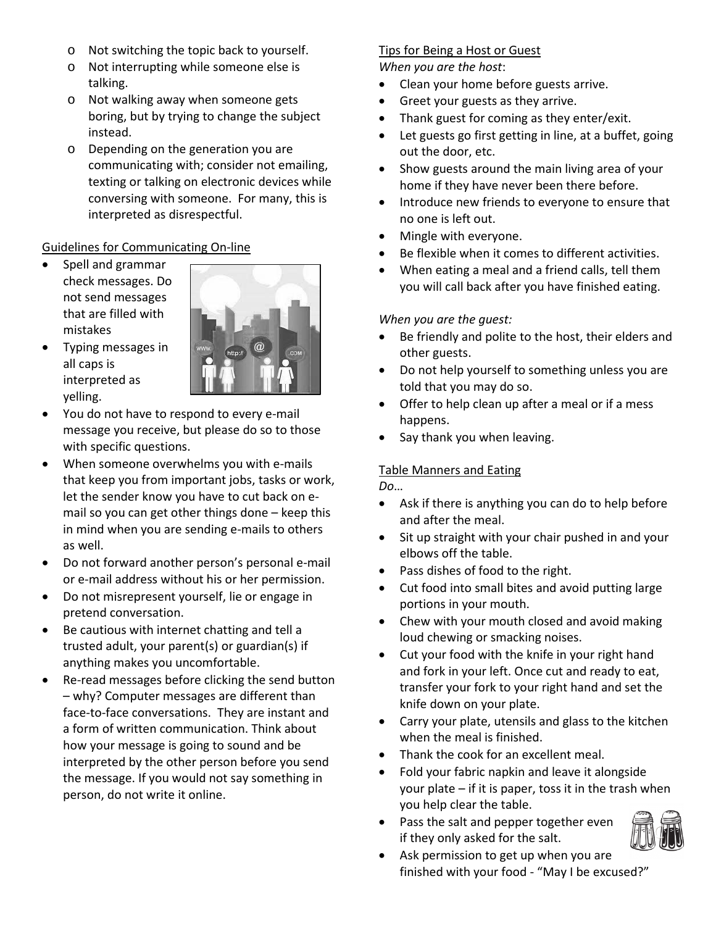- o Not switching the topic back to yourself.
- o Not interrupting while someone else is talking.
- o Not walking away when someone gets boring, but by trying to change the subject instead.
- o Depending on the generation you are communicating with; consider not emailing, texting or talking on electronic devices while conversing with someone. For many, this is interpreted as disrespectful.

#### Guidelines for Communicating On-line

• Spell and grammar check messages. Do not send messages that are filled with mistakes

• Typing messages in



- all caps is interpreted as yelling. • You do not have to respond to every e-mail
- message you receive, but please do so to those with specific questions.
- When someone overwhelms you with e-mails that keep you from important jobs, tasks or work, let the sender know you have to cut back on email so you can get other things done – keep this in mind when you are sending e-mails to others as well.
- Do not forward another person's personal e-mail or e-mail address without his or her permission.
- Do not misrepresent yourself, lie or engage in pretend conversation.
- Be cautious with internet chatting and tell a trusted adult, your parent(s) or guardian(s) if anything makes you uncomfortable.
- Re-read messages before clicking the send button – why? Computer messages are different than face-to-face conversations. They are instant and a form of written communication. Think about how your message is going to sound and be interpreted by the other person before you send the message. If you would not say something in person, do not write it online.

### Tips for Being a Host or Guest

*When you are the host*:

- Clean your home before guests arrive.
- Greet your guests as they arrive.
- Thank guest for coming as they enter/exit.
- Let guests go first getting in line, at a buffet, going out the door, etc.
- Show guests around the main living area of your home if they have never been there before.
- Introduce new friends to everyone to ensure that no one is left out.
- Mingle with everyone.
- Be flexible when it comes to different activities.
- When eating a meal and a friend calls, tell them you will call back after you have finished eating.

#### *When you are the guest:*

- Be friendly and polite to the host, their elders and other guests.
- Do not help yourself to something unless you are told that you may do so.
- Offer to help clean up after a meal or if a mess happens.
- Say thank you when leaving.

#### Table Manners and Eating

*Do*…

- Ask if there is anything you can do to help before and after the meal.
- Sit up straight with your chair pushed in and your elbows off the table.
- Pass dishes of food to the right.
- Cut food into small bites and avoid putting large portions in your mouth.
- Chew with your mouth closed and avoid making loud chewing or smacking noises.
- Cut your food with the knife in your right hand and fork in your left. Once cut and ready to eat, transfer your fork to your right hand and set the knife down on your plate.
- Carry your plate, utensils and glass to the kitchen when the meal is finished.
- Thank the cook for an excellent meal.
- Fold your fabric napkin and leave it alongside your plate – if it is paper, toss it in the trash when you help clear the table.
- Pass the salt and pepper together even if they only asked for the salt.



• Ask permission to get up when you are finished with your food - "May I be excused?"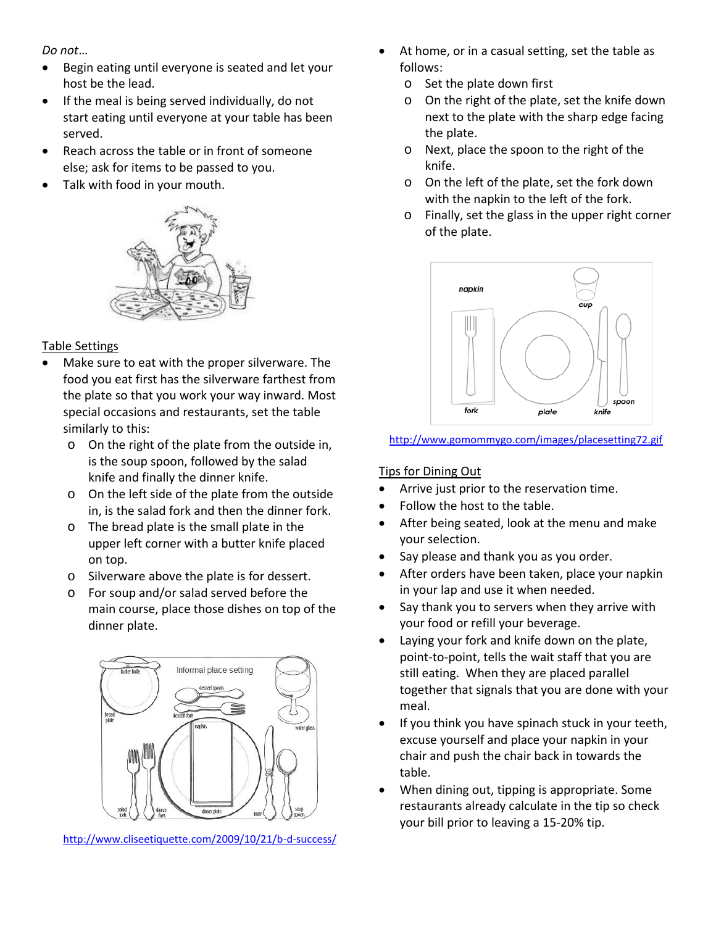*Do not*…

- Begin eating until everyone is seated and let your host be the lead.
- If the meal is being served individually, do not start eating until everyone at your table has been served.
- Reach across the table or in front of someone else; ask for items to be passed to you.
- Talk with food in your mouth.



#### Table Settings

- Make sure to eat with the proper silverware. The food you eat first has the silverware farthest from the plate so that you work your way inward. Most special occasions and restaurants, set the table similarly to this:
	- o On the right of the plate from the outside in, is the soup spoon, followed by the salad knife and finally the dinner knife.
	- o On the left side of the plate from the outside in, is the salad fork and then the dinner fork.
	- o The bread plate is the small plate in the upper left corner with a butter knife placed on top.
	- o Silverware above the plate is for dessert.
	- o For soup and/or salad served before the main course, place those dishes on top of the dinner plate.



<http://www.cliseetiquette.com/2009/10/21/b-d-success/>

- At home, or in a casual setting, set the table as follows:
	- o Set the plate down first
	- o On the right of the plate, set the knife down next to the plate with the sharp edge facing the plate.
	- o Next, place the spoon to the right of the knife.
	- o On the left of the plate, set the fork down with the napkin to the left of the fork.
	- o Finally, set the glass in the upper right corner of the plate.



#### <http://www.gomommygo.com/images/placesetting72.gif>

#### Tips for Dining Out

- Arrive just prior to the reservation time.
- Follow the host to the table.
- After being seated, look at the menu and make your selection.
- Say please and thank you as you order.
- After orders have been taken, place your napkin in your lap and use it when needed.
- Say thank you to servers when they arrive with your food or refill your beverage.
- Laying your fork and knife down on the plate, point-to-point, tells the wait staff that you are still eating. When they are placed parallel together that signals that you are done with your meal.
- If you think you have spinach stuck in your teeth, excuse yourself and place your napkin in your chair and push the chair back in towards the table.
- When dining out, tipping is appropriate. Some restaurants already calculate in the tip so check your bill prior to leaving a 15-20% tip.